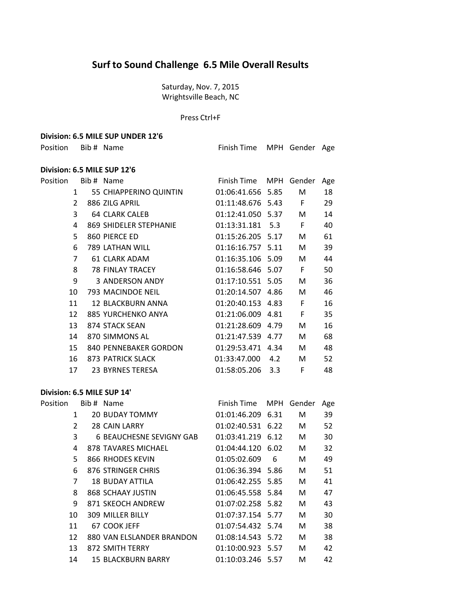# **Surf to Sound Challenge 6.5 Mile Overall Results**

Saturday, Nov. 7, 2015 Wrightsville Beach, NC

#### Press Ctrl+F

### **Division: 6.5 MILE SUP UNDER 12'6**

Position Bib # Name Finish Time MPH Gender Age

## **Division: 6.5 MILE SUP 12'6**

| Position |                | Bib # Name              | Finish Time       | MPH | Gender | Age |
|----------|----------------|-------------------------|-------------------|-----|--------|-----|
|          | 1              | 55 CHIAPPERINO QUINTIN  | 01:06:41.656 5.85 |     | M      | 18  |
|          | 2              | 886 ZILG APRIL          | 01:11:48.676 5.43 |     | F      | 29  |
|          | 3              | <b>64 CLARK CALEB</b>   | 01:12:41.050 5.37 |     | M      | 14  |
|          | 4              | 869 SHIDELER STEPHANIE  | 01:13:31.181 5.3  |     | F      | 40  |
|          | 5              | 860 PIERCE ED           | 01:15:26.205 5.17 |     | М      | 61  |
|          | 6              | 789 LATHAN WILL         | 01:16:16.757 5.11 |     | M      | 39  |
|          | $\overline{7}$ | 61 CLARK ADAM           | 01:16:35.106 5.09 |     | М      | 44  |
|          | 8              | <b>78 FINLAY TRACEY</b> | 01:16:58.646 5.07 |     | F      | 50  |
|          | 9              | 3 ANDERSON ANDY         | 01:17:10.551 5.05 |     | M      | 36  |
|          | 10             | 793 MACINDOE NEIL       | 01:20:14.507 4.86 |     | M      | 46  |
|          | 11             | 12 BLACKBURN ANNA       | 01:20:40.153 4.83 |     | F      | 16  |
|          | 12             | 885 YURCHENKO ANYA      | 01:21:06.009 4.81 |     | F      | 35  |
|          | 13             | 874 STACK SEAN          | 01:21:28.609 4.79 |     | M      | 16  |
|          | 14             | 870 SIMMONS AL          | 01:21:47.539 4.77 |     | M      | 68  |
|          | 15             | 840 PENNEBAKER GORDON   | 01:29:53.471 4.34 |     | M      | 48  |
|          | 16             | 873 PATRICK SLACK       | 01:33:47.000      | 4.2 | M      | 52  |
|          | 17             | 23 BYRNES TERESA        | 01:58:05.206      | 3.3 | F      | 48  |

## **Division: 6.5 MILE SUP 14'**

| Position |    | Bib # Name                      | Finish Time       | MPH | Gender | Age |
|----------|----|---------------------------------|-------------------|-----|--------|-----|
|          | 1  | <b>20 BUDAY TOMMY</b>           | 01:01:46.209 6.31 |     | M      | 39  |
|          | 2  | 28 CAIN LARRY                   | 01:02:40.531 6.22 |     | M      | 52  |
|          | 3  | <b>6 BEAUCHESNE SEVIGNY GAB</b> | 01:03:41.219 6.12 |     | M      | 30  |
|          | 4  | 878 TAVARES MICHAEL             | 01:04:44.120 6.02 |     | M      | 32  |
|          | 5. | 866 RHODES KEVIN                | 01:05:02.609      | 6   | М      | 49  |
|          | 6  | 876 STRINGER CHRIS              | 01:06:36.394 5.86 |     | M      | 51  |
|          | 7  | 18 BUDAY ATTILA                 | 01:06:42.255 5.85 |     | M      | 41  |
|          | 8  | 868 SCHAAY JUSTIN               | 01:06:45.558 5.84 |     | М      | 47  |
|          | 9  | 871 SKEOCH ANDREW               | 01:07:02.258 5.82 |     | М      | 43  |
|          | 10 | <b>309 MILLER BILLY</b>         | 01:07:37.154 5.77 |     | М      | 30  |
|          | 11 | 67 COOK JEFF                    | 01:07:54.432 5.74 |     | M      | 38  |
|          | 12 | 880 VAN ELSLANDER BRANDON       | 01:08:14.543 5.72 |     | М      | 38  |
|          | 13 | 872 SMITH TERRY                 | 01:10:00.923 5.57 |     | M      | 42  |
|          | 14 | <b>15 BLACKBURN BARRY</b>       | 01:10:03.246 5.57 |     | М      | 42  |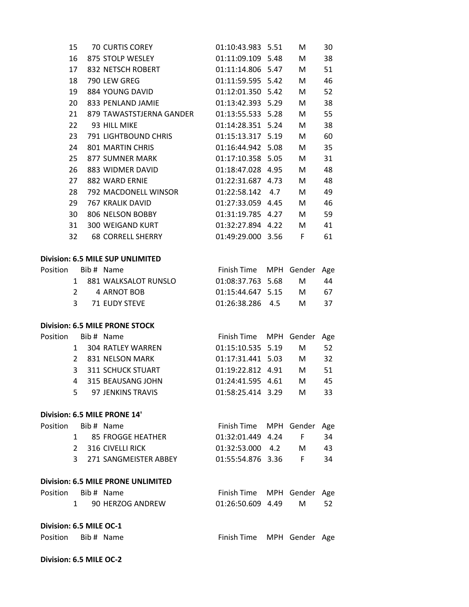|                         | 15             | 70 CURTIS COREY                            | 01:10:43.983 5.51          | М | 30  |
|-------------------------|----------------|--------------------------------------------|----------------------------|---|-----|
|                         | 16             | 875 STOLP WESLEY                           | 01:11:09.109 5.48          | M | 38  |
|                         | 17             | 832 NETSCH ROBERT                          | 01:11:14.806 5.47          | M | 51  |
|                         | 18             | 790 LEW GREG                               | 01:11:59.595 5.42          | M | 46  |
|                         | 19             | 884 YOUNG DAVID                            | 01:12:01.350 5.42          | M | 52  |
| 20                      |                | 833 PENLAND JAMIE                          | 01:13:42.393 5.29          | M | 38  |
|                         | 21             | 879 TAWASTSTJERNA GANDER 01:13:55.533 5.28 |                            | M | 55  |
|                         | 22             | 93 HILL MIKE                               | 01:14:28.351 5.24          | M | 38  |
|                         | 23             | <b>791 LIGHTBOUND CHRIS</b>                | 01:15:13.317 5.19          | M | 60  |
|                         | 24             | 801 MARTIN CHRIS                           | 01:16:44.942 5.08          | M | 35  |
| 25                      |                | 877 SUMNER MARK                            | 01:17:10.358 5.05          | M | 31  |
|                         | 26             | 883 WIDMER DAVID                           | 01:18:47.028 4.95          | M | 48  |
|                         | 27             | 882 WARD ERNIE                             | 01:22:31.687 4.73          | M | 48  |
|                         | 28             | 792 MACDONELL WINSOR                       | 01:22:58.142 4.7           | M | 49  |
|                         | 29             | <b>767 KRALIK DAVID</b>                    | 01:27:33.059 4.45          | М | 46  |
| 30                      |                | 806 NELSON BOBBY                           | 01:31:19.785 4.27          | М | 59  |
| 31                      |                | <b>300 WEIGAND KURT</b>                    | 01:32:27.894 4.22          | M | 41  |
| 32                      |                | <b>68 CORRELL SHERRY</b>                   | 01:49:29.000 3.56          | F | 61  |
|                         |                | <b>Division: 6.5 MILE SUP UNLIMITED</b>    |                            |   |     |
| Position                |                | Bib # Name                                 | Finish Time MPH Gender     |   | Age |
|                         |                | 1 881 WALKSALOT RUNSLO                     | 01:08:37.763 5.68          | M | 44  |
|                         | $\overline{2}$ | 4 ARNOT BOB                                | 01:15:44.647 5.15          | M | 67  |
|                         | 3              | 71 EUDY STEVE                              | 01:26:38.286 4.5           | M | 37  |
|                         |                | <b>Division: 6.5 MILE PRONE STOCK</b>      |                            |   |     |
| Position                |                | Bib # Name                                 | Finish Time MPH Gender     |   | Age |
|                         | 1              | 304 RATLEY WARREN                          | 01:15:10.535 5.19          | M | 52  |
|                         | $\overline{2}$ | 831 NELSON MARK                            | 01:17:31.441 5.03          | M | 32  |
|                         | 3              | <b>311 SCHUCK STUART</b>                   | 01:19:22.812 4.91          | M | 51  |
|                         | 4              | 315 BEAUSANG JOHN                          | 01:24:41.595 4.61          | M | 45  |
|                         | 5              | 97 JENKINS TRAVIS                          | 01:58:25.414 3.29          | M | 33  |
|                         |                | Division: 6.5 MILE PRONE 14'               |                            |   |     |
| Position                | Bib # Name     |                                            | Finish Time MPH Gender     |   | Age |
|                         |                | 1 85 FROGGE HEATHER                        | 01:32:01.449  4.24  F      |   | 34  |
|                         |                | 2 316 CIVELLI RICK                         | 01:32:53.000  4.2  M       |   | 43  |
|                         |                | 3 271 SANGMEISTER ABBEY                    | 01:55:54.876 3.36 F        |   | 34  |
|                         |                | <b>Division: 6.5 MILE PRONE UNLIMITED</b>  |                            |   |     |
| Position Bib # Name     |                |                                            | Finish Time MPH Gender Age |   |     |
|                         | $1 \quad$      | 90 HERZOG ANDREW                           | 01:26:50.609 4.49          | M | 52  |
| Division: 6.5 MILE OC-1 |                |                                            |                            |   |     |
| Position Bib # Name     |                |                                            | Finish Time MPH Gender Age |   |     |
| Division: 6.5 MILE OC-2 |                |                                            |                            |   |     |